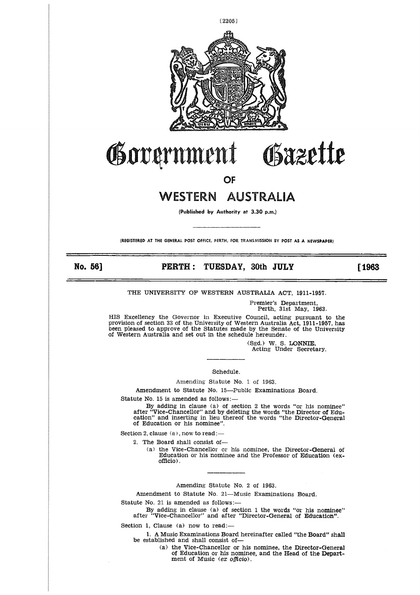

# Government Gazette

OF

# WESTERN AUSTRALIA

**(Published by Authority** et 3.30 p.m.)

**(REGISTERED AT THE GENERAL POST OFFICE, PERTH, FOR TRANSMISSION BY POST AS A NEWSPAPER)**

No. 56]

## **PERTH : TUESDAY, 30th JULY [1963**

THE UNIVERSITY OF WESTERN AUSTRALIA ACT, 1911-1957.

Premier's Department, Perth, 31st May, 1963.

HIS Excellency the Governor in Executive Council, acting pursuant to the provision of section 33 of the University of Western Australia Act, 1911-1957, has been pleased to approve of the Statutes made by the Senate of the University of Western Australia and set out in the schedule hereunder.

> (Sgd.) W. S. LONNIE, Acting Under Secretary.

Schedule.

Amending Statute No. 1 of 1963.

Amendment to Statute No. 15—Public Examinations Board.

Statute No. 15 is amended as follows:

By adding in clause (a) of section 2 the words "or his nominee" after "Vice-Chancellor" and by deleting the words "the Director of Edu-<br>cation" and inserting in lieu thereof the words "the Director-Genera<br>of Education or his nominee".

Section 2, clause (a), now to read:-

2. The Board shall consist of

(a) the Vice-Chancellor or his nominee, the Director-General of Education or his nominee and the Professor of Education (exofficio) .

Amending Statute No. 2 of 1963.

Amendment to Statute No. 21—Music Examinations Board.

Statute No. 21 is amended as follows:

By adding in clause (a) of section 1 the words "or his nominee" after "Vice-Chancellor" and after "Director-General of Education".

Section 1, Clause (a) now to read:-

1. A Music Examinations Board hereinafter called "the Board" shall be established and shall consist of

> (a) the Vice-Chancellor or his nominee, the Director-General of Education or his nominee, and the Head of the Department of Music *(ex officio).*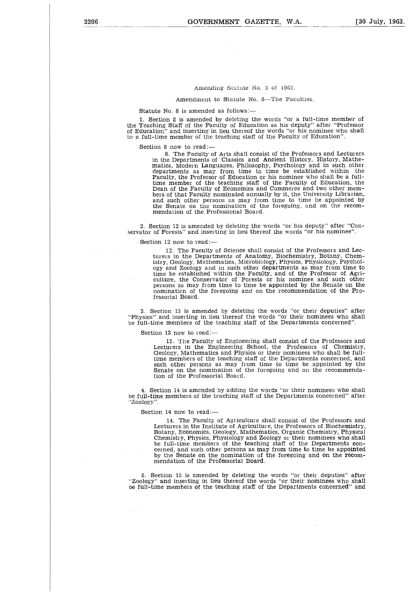#### Amending Statute No. 3 of 1963.

Amendment to Statute No. 8—The Faculties.

#### Statute No. 8 is amended as follows:-

1. Section 8 is amended by deleting the words "or a full-time member of the Teaching Staff of the Faculty of Education as his deputy'' after "Professo of Education" and inserting in lieu thereof the words "or his nominee who shall be a full-time member of the teaching staff of the Faculty of Education".

Section 8 now to read:—

8. The Faculty of Arts shall consist of the Professors and Lecturers in the Departments of Classics and Ancient History, History, Mathematics, Modern Languages, Philosophy, Psychology and in such other departments as may from time to time be established within the Faculty, the Professor of Education or his nominee who shall be a full-time member of the teaching staff of the Faculty of Education, the Dean of the Faculty of Economics and Commerce and two other members of that Faculty nominated annually by it, the University Librarian, and such other persons as may from time to time be appointed by the Senate on the nomination of the foregoing, and on the recommendation of the Professional Board.

2. Section 12 is amended by deleting the words "or his deputy" after "Conservator of Forests" and inserting in lieu thereof the words "or his nominee".

Section 12 now to read:-

12. The Faculty of Science shall consist of the Professors and Lecturers in the Departments of Anatomy, Biochemistry, Botany, Chemistry, Geology, Mathematics, Microbiology, Physics, Physiology, Psychology and Zoology and in such other departments as may from time to time be established within the Faculty, and of the Professor of Agriculture, the Conservator of Forests or his nominee and such other persons as may from time to time be appointed by the Senate on the nomination of the foregoing and on the recommendation of the Professorial Board.

3. Section 13 is amended by deleting the words "or their deputies" after "Physics" and inserting in lieu thereof the words "or their nominees who shall he full-time members of the teaching staff of the Departments concerned".

Section 13 now to read:-

13. The Faculty of Engineering shall consist of the Professors and Lecturers in the Engineering School, the Professors of Chemistry, Geology, Mathematics and Physics or their nominees who shall be fulltime members of the teaching staff of the Departments concerned, and such other persons as may from time to time be appointed by the Senate on the nomination of the foregoing and on the recommendation of the Professorial Board.

4. Section 14 is amended by adding the words "or their nominees who shall be full-time members of the teaching staff of the Departments concerned" afte "Zoology".

Section 14 now to read:-

 $\sim$   $\sim$ 

14. The Faculty of Agriculture shall consist of the Professors and Lecturers in the Institute of Agriculture, the Professors of Biochemistry, Botany, Economics, Geology, Mathematics, Organic Chemistry, Physical Chemistry, Physics, Physiology and Zoology or their nominees who shall be full-time members of the teaching staff of the Departments concerned, and such other persons as may from time to time be appointed by the Senate on the nomination of the foregoing and on the recommendation of the Professorial Board.

5. Section 15 is amended by deleting the words "or their deputies" after "Zoology" and inserting in lieu thereof the words "or their nominees who shall be full-time members of the teaching staff of the Departments concerned" and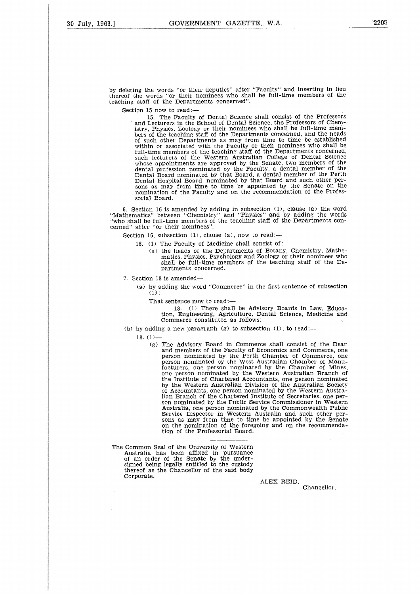by deleting the words "or their deputies" after "Faculty" and inserting in lieu thereof the words "or their nominees who shall be full-time members of the teaching staff of the Departments concerned".

Section 15 now to read:-

15. The Faculty of Dental Science shall consist of the Professors and Lecturers in the School of Dental Science, the Professors of Chemistry, Physics. Zoology or their nominees who shall be full-time members of the teaching staff of the Departments concerned, and the heads of such other Departments as may from time to time be established within or associated with the Faculty or their nominees who shall be full-time members of the teaching staff of the Departments concerned<br>such lecturers of the Western Australian College of Dental Science whose appointments are approved by the Senate, two members of the dental profession nominated by the Faculty, a dental member of the Dental Board nominated by that Board, a dental member of the Perth Dental Hospital Board nominated by that Board and such other per-sons as may from time to time be appointed by the Senate on the nomination of the Faculty and on the recommendation of the Professorial Board.

6. Secticn 16 is amended by adding in subsection (1), clause (a) the word "Mathematics" between "Chemistry" and "Physics" and by adding the words "who shall be full-time members of the teaching staff of the Departments concerned" after "or their nominees".

Section 16, subsection  $(1)$ , clause  $(a)$ , now to read:-

- 16. (1) The Faculty of Medicine shall consist of:
	- (a) the heads of the Departments of Botany, Chemistry, Mathematics, Physics, Psychology and Zoology or their nominees who shall be full-time members of the teaching staff of the Departments concerned.

7. Section 18 is amended

(a) by adding the word "Commerce" in the first sentence of subsection  $(1)$ :

That sentence now to read:-

18. (1) There shall be Advisory Boards in Law, Education, Engineering, Agriculture, Dental Science, Medicine and Commerce constituted as follows:

(b) by adding a new paragraph  $(g)$  to subsection  $(1)$ , to read:-

18. (1)-

- (g) The Advisory Board in Commerce shall consist of the Dean and members of the Faculty of Economics and Commerce, one person nominated by the Perth Chamber of Commerce, one person nominated by the West Australian Chamber of Manu-facturers, one person nominated by the Chamber of Mines, one person nominated by the Western Australian Branch of the Institute of Chartered Accountants, one person nominated by the Western Australian Division of the Australian Society of Accountants, one person nominated by the Western Australian Branch of the Chartered Institute of Secretaries, one person nominated by the Public Service Commissioner in Western Australia, one person nominated by the Commonwealth Public Service Inspector in Western Australia and such other persons as may from time to time be appointed by the Senate on the nomination of the foregoing and on the recommendation of the Professorial Board.
- The Common Seal of the University of Western Australia has been affixed in pursuance of an order of the Senate by the under-signed being legally entitled to the custody thereof as the Chancellor of the said body Corporate.

**ALEX REID,** Chancellor.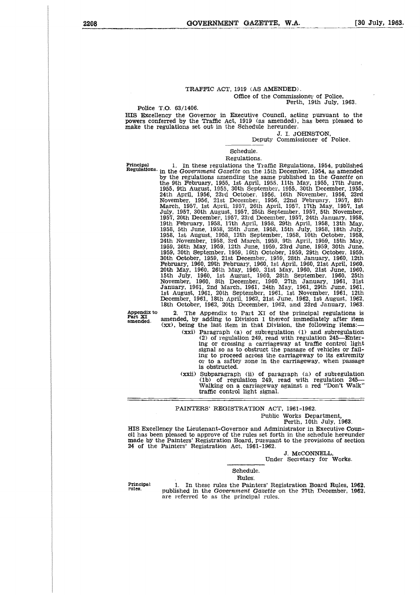#### TRAFFIC ACT, 1919 (AS AMENDED). Office of the Commissioner of Police, Perth, 19th July, 1963.

Police T.O. 63/1406.

HIS Excellency the Governor in Executive Council, acting pursuant to the powers conferred by the Traffic Act, 1919 (as amended), has been pleased to make the regulations set out in the Schedule hereunder.

J. I. JOHNSTON,

Deputy Commissioner of Police.

Schedule. Regulations.

**Principal** 1. In these regulations is a few regulations, 1954, published and the Bowern conferred by the Traffic Act, 1919 (as amended), has been pleased to the powers conferred by the Traffic Act, 1919 (as amended), has by the regulations amending the same published in the *Gazette* on the 9th February, 1955, 1st April, 1955. 11th May, 1955, 17th June, 1955, 9th August, 1955, 30th September, 1955, 30th December, 1955, 24th April, 1956, 23rd October. 1956, 16th November, 1956, 23rd November, 1956, 21st December, 1956, 22nd February, 1957, 8th March, 1957, 1st April, 1957, 26th April, 1957, 17th May, 1957, 1st July, 1957, 30th August, 1957, 25th September, 1957, 5th November, 1957, 20th December, 1957, 23rd December, 1957, 24th January, 1958, 19th February, 1958, 17th April, 1958, 29th April, 1958, 13th May, 1958, 5th June, 1958, 25th June, 1958, 15th July, 1958, 18th July, 1958, 1st August, 1958, 12th September, 1958, 10th October, 1958, 24th November, 1958, 3rd March, 1959, 9th April, 1959, 15th May, 1959, 26th May, 1959, 12th June, 1959, 23rd June, 1959, 30th June, 1959, 30th September, 1959, 16th October, 1959, 29th October, 1959, 30th October, 1959, 21st December, 1959, 28th January, 1960, 12th February, 1960, 29th February, 1960, 1st April, 1960, 21st April, 1960, 20th May, 1960, 26th May, 1960. 31st May, 1960, 21st June, 1960, 15th July, 1960, let August, 1960, 28th September, 1960, 25th November, 1960, 8th December, 1960, 27th January, 1961, 31st January, 1961, 2nd March, 1961, 24th May, 1961, 29th June, 1961, 1st August, 1961, 20th September, 1961, 1st November, 1961, 12th December, 1961, 18th April, 1962, 21st June, 1962, 1st August, 1962, 18th October, 1962, 20th December, 1962, and 23rd January, 1963.

**Appendix** to **Part XI amended.**

The Appendix to Part XI of the principal regulations is amended, by adding to Division 1 thereof immediately after item (xx), being the last item in that Division, the following items:-

(xxi) Paragraph (a) of subregulation (1) and subregulation (2) of regulation 249, read with regulation 245-Enter-ing or crossing a carriageway at traffic control light signal so as to obstruct the passage of vehicles or failing to proceed across the carriageway to its extremity or to a saftey zone in the carriageway, when passage is obstructed.

(xxii) Subparagraph (ii) of paragraph (a) of subregulation (lb) of regulation 249, read with regulation 245- Walking on a carriageway against a red "Don't Walk" traffic control light signal.

PAINTERS' REGISTRATION ACT, 1961-1962.

# Public Works Department,

Perth, 10th July, 1983.

HIS Excellency the Lieutenant-Governor and Administrator in Executive Council has been pleased to approve of the rules set forth in the schedule hereunder made by the Painters' Registration Board, pursuant to the provisions of section 24 of the Painters' Registration Act, 1961-1962.

J. McCONNELL,

Under Secretary for Works.

# Schedule.

**Rules** 

**Principal rules.**

• 1. In these rules the Painters' Registration Board Rules, 1962, published in the Government *Gazette* on the 27th December, 1962, arc referred to as the principal rules.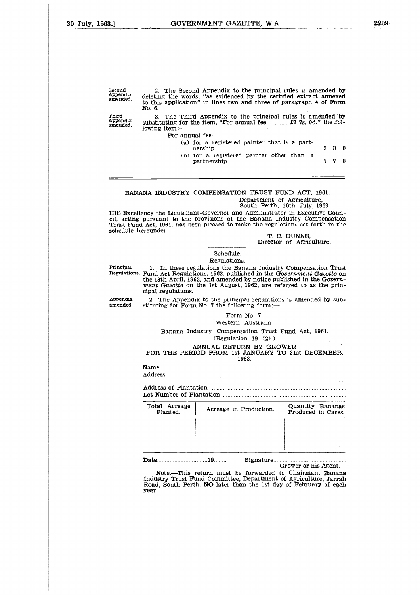| Second<br>Appendix<br>amended. | 2. The Second Appendix to the principal rules is amended by<br>deleting the words, "as evidenced by the certified extract annexed<br>to this application" in lines two and three of paragraph 4 of Form<br>No. 6.                                                                                                                                                      |                   |
|--------------------------------|------------------------------------------------------------------------------------------------------------------------------------------------------------------------------------------------------------------------------------------------------------------------------------------------------------------------------------------------------------------------|-------------------|
| Third<br>Appendix<br>amended.  | 3. The Third Appendix to the principal rules is amended by<br>substituting for the item. "For annual fee $\ldots$ $\mathfrak{X}$ 7. 0d." the fol-<br>lowing item:—                                                                                                                                                                                                     |                   |
|                                | For annual fee-                                                                                                                                                                                                                                                                                                                                                        |                   |
|                                | (a) for a registered painter that is a part-<br>$3 \overline{3}$<br>nership<br><b>Sales Committee</b><br>$\frac{1}{2}$ . The contract of $\frac{1}{2}$ is the contract of $\frac{1}{2}$ . The contract of $\frac{1}{2}$ is the contract of $\frac{1}{2}$ is the contract of $\frac{1}{2}$ is the contract of $\frac{1}{2}$ is the contract of $\frac{1}{2}$ is the con | $\theta$          |
|                                | (b) for a registered painter other than a<br>7.<br>partnership                                                                                                                                                                                                                                                                                                         | $\mathbf{0}$<br>7 |
|                                |                                                                                                                                                                                                                                                                                                                                                                        |                   |

#### BANANA INDUSTRY COMPENSATION TRUST FUND ACT, 1961. Department of Agriculture,

South Perth, 10th July, 1963.

HIS Excellency the Lieutenant-Governor and Administrator in Executive Coun-cil, acting pursuant to the provisions of the Banana Industry Compensation Trust Fund Act, 1961, has been pleased to make the regulations set forth in the schedule hereunder. **PRINCIPAL EXECT COMPENSATION TRUST FUND ACT, 1961.**<br>
Pepartment of Agriculture,<br>
FIIS Excellency the Lieutenant-Governor and Administrator in Executive Coun-<br>
cil, acting pursuant to the provisions of the Banana Industry

T. C. DUNNE, Director of Agriculture.

Schedule.

## Regulations.

**Regulations.** Fund Act Regulations, 1962, published in the *Government Gazette* on the 18th April, 1962, and amended by notice published in the *Government Gazette* on the 1st August, 1962, are referred to as the principal regulations. cii, actin<br>Trust Fu<br>schedule<br>Regulation<br>Appendix<br>Appendix<br>amended.

2. The Appendix to the principal regulations is amended by subamended. stituting for Form No. 7 the following form:-

#### Form No. 7. Western Australia.

Name Address ת בד<br>אופן<br>תוד נוד<br>שנו cution<br>
Internation<br>
Districts - 17<br>- 7<br>- 1.<br>- 1.<br>- 1.<br>- 1.

|                           | Surveying for I clim for. I and following form.                                                                                                                                                 |                                        |
|---------------------------|-------------------------------------------------------------------------------------------------------------------------------------------------------------------------------------------------|----------------------------------------|
|                           | Form No. 7.<br>Western Australia.                                                                                                                                                               |                                        |
|                           | Banana Industry Compensation Trust Fund Act. 1961.<br>(Reculation 19 (2).)                                                                                                                      |                                        |
|                           | ANNUAL RETURN BY GROWER<br>FOR THE PERIOD FROM 1st JANUARY TO 31st DECEMBER.<br>1963.                                                                                                           |                                        |
|                           |                                                                                                                                                                                                 |                                        |
|                           |                                                                                                                                                                                                 |                                        |
| Total Acreage<br>Planted. | Acreage in Production.                                                                                                                                                                          | Quantity Bananas<br>Produced in Cases. |
|                           | Signature                                                                                                                                                                                       |                                        |
|                           | Note.—This return must be forwarded to Chairman. Banana<br>Industry Trust Fund Committee, Department of Agriculture, Jarrah<br>Doed Couth Double MO laten than the 1st day of Debuttout of each | Grower or his Agent.                   |

Note.—This return must be forwarded to Chairman, Banana Industry Trust Fund Committee, Department of Agriculture, Jarrah Road, South Perth, NO later than the 1st day of February of each year.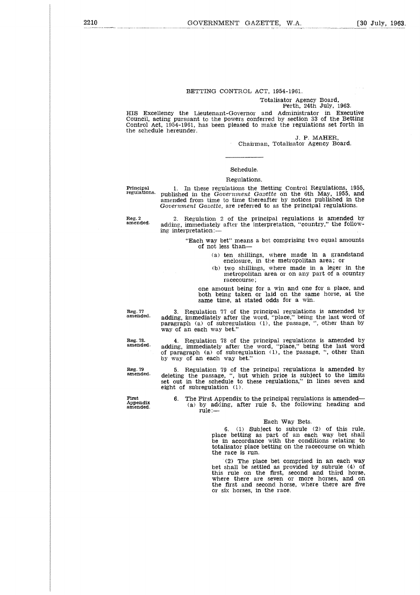#### BETTING CONTROL ACT, 1954-1961.

#### Totalisator Agency Board, Perth, 24th July, 1963.

HIS Excellency the Lieutenant-Governor and Administrator in Executive Council, acting pursuant to the powers conferred by section 33 of the Betting Control Act, 1954-1961, has been pleased to make the regulations set forth in the schedule hereunder.

> J. P. MAHER, Chairman, Totalisator Agency Board.

#### Schedule.

#### Regulations.

**Principal regulations.**

1. In these regulations the Betting Control Regulations, 1955, published in the *Government Gazette* on the 6th May, 1955, and amended from time to time thereafter by notices published in the *Government Gazette,* are referred to as the principal regulations.

**Reg. 2 amended.**

2. Regulation 2 of the principal regulations is amended by adding, immediately after the interpretation, "country," the following interpretation:

> "Each way bet" means a bet comprising two equal amounts of not less than

- (a) ten shillings, where made in a grandstand enclosure, in the metropolitan area; or
- (b) two shillings, where made in a leger in the metropolitan area or on any part of a country racecourse;

one amount being for a win and one for a place, and both being taken or laid on the same horse, at the same time, at stated odds for a win.

**Reg. 77 amended.**

3. Regulation 77 of the principal regulations is amended by adding, immediately after the word, "place," being the last word of paragraph (a) of subregulation (1), the passage, ", other than by way of an each way bet."

4. Regulation 78 of the principal regulations is amended by adding, immediately after the word, "place," being the last word of paragraph (a) of subregulation (1), the passage, ", other than by way of an each way bet.'

5. Regulation 79 of the principal regulations is amended by deleting the passage, ", but which price is subject to the limits set out in the schedule to these regulations," in lines seven and eight of subregulation (1).

6. The First Appendix to the principal regulations is amended— (a) by adding, after rule 5, the following heading and rule:—

#### Each Way Bets.

6. (1) Subject to subrule (2) of this rule, place betting as part of an each way bet shall be in accordance with the conditions relating to totalisator place betting on the racecourse on which the race is run.

(2) The place bet comprised in an each way bet shall be settled as provided by subrule (4) of this rule on the first, second and third horse, where there are seven or more horses, and on the first and second horse, where there are five or six horses, in the race.

**Reg. 78. amended.**

**Reg. 79 amended.**

**First Appendix amended.**